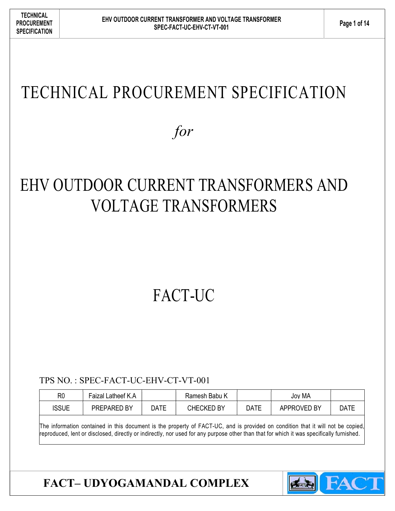# TECHNICAL PROCUREMENT SPECIFICATION

for

# EHV OUTDOOR CURRENT TRANSFORMERS AND VOLTAGE TRANSFORMERS

# FACT-UC

TPS NO. : SPEC-FACT-UC-EHV-CT-VT-001

| R0                                                                                                                              | Faizal Latheef K.A |      | Ramesh Babu K     |             | Jov MA      |      |
|---------------------------------------------------------------------------------------------------------------------------------|--------------------|------|-------------------|-------------|-------------|------|
| <b>ISSUE</b>                                                                                                                    | PREPARED BY        | DATE | <b>CHECKED BY</b> | <b>DATE</b> | APPROVED BY | DATE |
| The information contained in this document is the property of FACT-UC, and is provided on condition that it will not be copied, |                    |      |                   |             |             |      |

reproduced, lent or disclosed, directly or indirectly, nor used for any purpose other than that for which it was specifically furnished.

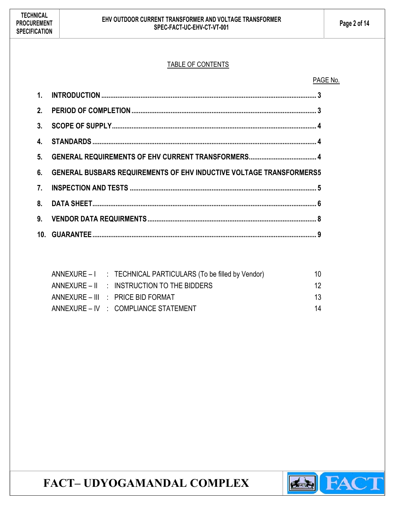### TABLE OF CONTENTS

#### PAGE No.

| 6. GENERAL BUSBARS REQUIREMENTS OF EHV INDUCTIVE VOLTAGE TRANSFORMERS5 |  |
|------------------------------------------------------------------------|--|
|                                                                        |  |
|                                                                        |  |
|                                                                        |  |
|                                                                        |  |

|  | ANNEXURE - I : TECHNICAL PARTICULARS (To be filled by Vendor) | 10. |
|--|---------------------------------------------------------------|-----|
|  | ANNEXURE – II : INSTRUCTION TO THE BIDDERS                    | 12. |
|  | ANNEXURE – III : PRICE BID FORMAT                             | 13  |
|  | ANNEXURE – IV : COMPLIANCE STATEMENT                          | 14  |

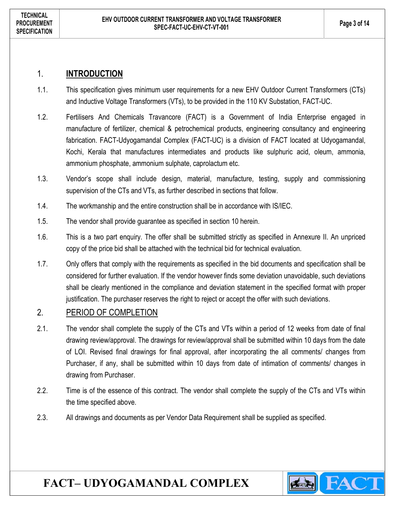### 1. INTRODUCTION

- 1.1. This specification gives minimum user requirements for a new EHV Outdoor Current Transformers (CTs) and Inductive Voltage Transformers (VTs), to be provided in the 110 KV Substation, FACT-UC.
- 1.2. Fertilisers And Chemicals Travancore (FACT) is a Government of India Enterprise engaged in manufacture of fertilizer, chemical & petrochemical products, engineering consultancy and engineering fabrication. FACT-Udyogamandal Complex (FACT-UC) is a division of FACT located at Udyogamandal, Kochi, Kerala that manufactures intermediates and products like sulphuric acid, oleum, ammonia, ammonium phosphate, ammonium sulphate, caprolactum etc.
- 1.3. Vendor's scope shall include design, material, manufacture, testing, supply and commissioning supervision of the CTs and VTs, as further described in sections that follow.
- 1.4. The workmanship and the entire construction shall be in accordance with IS/IEC.
- 1.5. The vendor shall provide guarantee as specified in section 10 herein.
- 1.6. This is a two part enquiry. The offer shall be submitted strictly as specified in Annexure II. An unpriced copy of the price bid shall be attached with the technical bid for technical evaluation.
- 1.7. Only offers that comply with the requirements as specified in the bid documents and specification shall be considered for further evaluation. If the vendor however finds some deviation unavoidable, such deviations shall be clearly mentioned in the compliance and deviation statement in the specified format with proper justification. The purchaser reserves the right to reject or accept the offer with such deviations.

### 2. PERIOD OF COMPLETION

- 2.1. The vendor shall complete the supply of the CTs and VTs within a period of 12 weeks from date of final drawing review/approval. The drawings for review/approval shall be submitted within 10 days from the date of LOI. Revised final drawings for final approval, after incorporating the all comments/ changes from Purchaser, if any, shall be submitted within 10 days from date of intimation of comments/ changes in drawing from Purchaser.
- 2.2. Time is of the essence of this contract. The vendor shall complete the supply of the CTs and VTs within the time specified above.
- 2.3. All drawings and documents as per Vendor Data Requirement shall be supplied as specified.

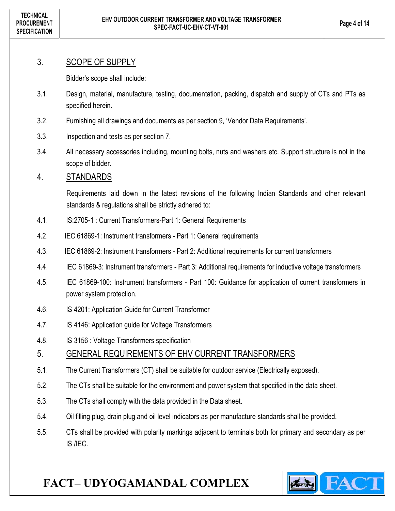### 3. SCOPE OF SUPPLY

Bidder's scope shall include:

- 3.1. Design, material, manufacture, testing, documentation, packing, dispatch and supply of CTs and PTs as specified herein.
- 3.2. Furnishing all drawings and documents as per section 9, 'Vendor Data Requirements'.
- 3.3. Inspection and tests as per section 7.
- 3.4. All necessary accessories including, mounting bolts, nuts and washers etc. Support structure is not in the scope of bidder.

### 4. STANDARDS

Requirements laid down in the latest revisions of the following Indian Standards and other relevant standards & regulations shall be strictly adhered to:

- 4.1. IS:2705-1 : Current Transformers-Part 1: General Requirements
- 4.2. IEC 61869-1: Instrument transformers Part 1: General requirements
- 4.3. IEC 61869-2: Instrument transformers Part 2: Additional requirements for current transformers
- 4.4. IEC 61869-3: Instrument transformers Part 3: Additional requirements for inductive voltage transformers
- 4.5. IEC 61869-100: Instrument transformers Part 100: Guidance for application of current transformers in power system protection.
- 4.6. IS 4201: Application Guide for Current Transformer
- 4.7. IS 4146: Application guide for Voltage Transformers
- 4.8. IS 3156 : Voltage Transformers specification

### 5. GENERAL REQUIREMENTS OF EHV CURRENT TRANSFORMERS

- 5.1. The Current Transformers (CT) shall be suitable for outdoor service (Electrically exposed).
- 5.2. The CTs shall be suitable for the environment and power system that specified in the data sheet.
- 5.3. The CTs shall comply with the data provided in the Data sheet.
- 5.4. Oil filling plug, drain plug and oil level indicators as per manufacture standards shall be provided.
- 5.5. CTs shall be provided with polarity markings adjacent to terminals both for primary and secondary as per IS /IEC.

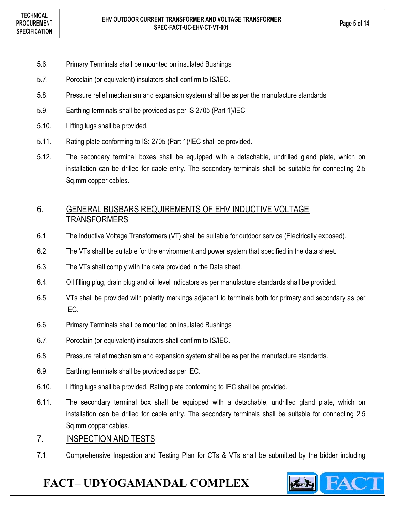- 5.6. Primary Terminals shall be mounted on insulated Bushings
- 5.7. Porcelain (or equivalent) insulators shall confirm to IS/IEC.
- 5.8. Pressure relief mechanism and expansion system shall be as per the manufacture standards
- 5.9. Earthing terminals shall be provided as per IS 2705 (Part 1)/IEC
- 5.10. Lifting lugs shall be provided.
- 5.11. Rating plate conforming to IS: 2705 (Part 1)/IEC shall be provided.
- 5.12. The secondary terminal boxes shall be equipped with a detachable, undrilled gland plate, which on installation can be drilled for cable entry. The secondary terminals shall be suitable for connecting 2.5 Sq.mm copper cables.

### 6. GENERAL BUSBARS REQUIREMENTS OF EHV INDUCTIVE VOLTAGE TRANSFORMERS

- 6.1. The Inductive Voltage Transformers (VT) shall be suitable for outdoor service (Electrically exposed).
- 6.2. The VTs shall be suitable for the environment and power system that specified in the data sheet.
- 6.3. The VTs shall comply with the data provided in the Data sheet.
- 6.4. Oil filling plug, drain plug and oil level indicators as per manufacture standards shall be provided.
- 6.5. VTs shall be provided with polarity markings adjacent to terminals both for primary and secondary as per IEC.
- 6.6. Primary Terminals shall be mounted on insulated Bushings
- 6.7. Porcelain (or equivalent) insulators shall confirm to IS/IEC.
- 6.8. Pressure relief mechanism and expansion system shall be as per the manufacture standards.
- 6.9. Earthing terminals shall be provided as per IEC.
- 6.10. Lifting lugs shall be provided. Rating plate conforming to IEC shall be provided.
- 6.11. The secondary terminal box shall be equipped with a detachable, undrilled gland plate, which on installation can be drilled for cable entry. The secondary terminals shall be suitable for connecting 2.5 Sq.mm copper cables.

### 7. INSPECTION AND TESTS

7.1. Comprehensive Inspection and Testing Plan for CTs & VTs shall be submitted by the bidder including

**STARKS** 

FACT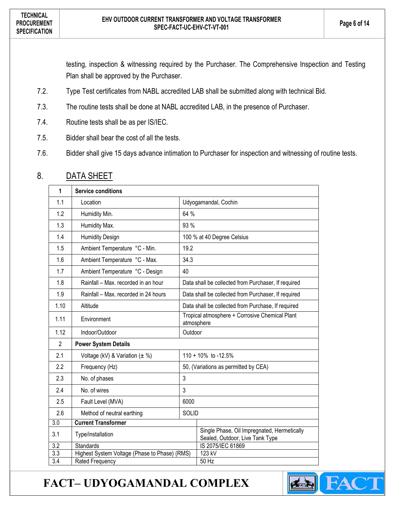testing, inspection & witnessing required by the Purchaser. The Comprehensive Inspection and Testing Plan shall be approved by the Purchaser.

- 7.2. Type Test certificates from NABL accredited LAB shall be submitted along with technical Bid.
- 7.3. The routine tests shall be done at NABL accredited LAB, in the presence of Purchaser.
- 7.4. Routine tests shall be as per IS/IEC.
- 7.5. Bidder shall bear the cost of all the tests.
- 7.6. Bidder shall give 15 days advance intimation to Purchaser for inspection and witnessing of routine tests.

| $\mathbf{1}$     | <b>Service conditions</b>                     |                                                              |                                                                                |  |
|------------------|-----------------------------------------------|--------------------------------------------------------------|--------------------------------------------------------------------------------|--|
| 1.1              | Location                                      | Udyogamandal, Cochin                                         |                                                                                |  |
| 1.2              | Humidity Min.                                 | 64 %                                                         |                                                                                |  |
| 1.3              | Humidity Max.                                 | 93 %                                                         |                                                                                |  |
| 1.4              | <b>Humidity Design</b>                        |                                                              | 100 % at 40 Degree Celsius                                                     |  |
| 1.5              | Ambient Temperature °C - Min.                 | 19.2                                                         |                                                                                |  |
| 1.6              | Ambient Temperature °C - Max.                 | 34.3                                                         |                                                                                |  |
| 1.7              | Ambient Temperature °C - Design               | 40                                                           |                                                                                |  |
| 1.8              | Rainfall - Max. recorded in an hour           |                                                              | Data shall be collected from Purchaser, If required                            |  |
| 1.9              | Rainfall - Max. recorded in 24 hours          | Data shall be collected from Purchaser, If required          |                                                                                |  |
| 1.10             | Altitude                                      | Data shall be collected from Purchase, If required           |                                                                                |  |
| 1.11             | Environment                                   | Tropical atmosphere + Corrosive Chemical Plant<br>atmosphere |                                                                                |  |
| 1.12             | Indoor/Outdoor                                | Outdoor                                                      |                                                                                |  |
| $\overline{2}$   | <b>Power System Details</b>                   |                                                              |                                                                                |  |
| 2.1              | Voltage (kV) & Variation $(\pm \%)$           | 110 + 10% to -12.5%                                          |                                                                                |  |
| 2.2              | Frequency (Hz)                                |                                                              | 50, (Variations as permitted by CEA)                                           |  |
| 2.3              | No. of phases                                 | 3                                                            |                                                                                |  |
| 2.4              | No. of wires                                  | 3                                                            |                                                                                |  |
| 2.5              | Fault Level (MVA)                             | 6000                                                         |                                                                                |  |
| 2.6              | Method of neutral earthing                    | <b>SOLID</b>                                                 |                                                                                |  |
| $\overline{3.0}$ | <b>Current Transformer</b>                    |                                                              |                                                                                |  |
| 3.1              | Type/installation                             |                                                              | Single Phase, Oil Impregnated, Hermetically<br>Sealed, Outdoor, Live Tank Type |  |
| 3.2              | <b>Standards</b>                              |                                                              | IS 2075/IEC 61869                                                              |  |
| $\overline{3.3}$ | Highest System Voltage (Phase to Phase) (RMS) |                                                              | 123 kV                                                                         |  |
| $\overline{3.4}$ | Rated Frequency                               |                                                              | 50 Hz                                                                          |  |

### 8. DATA SHEET

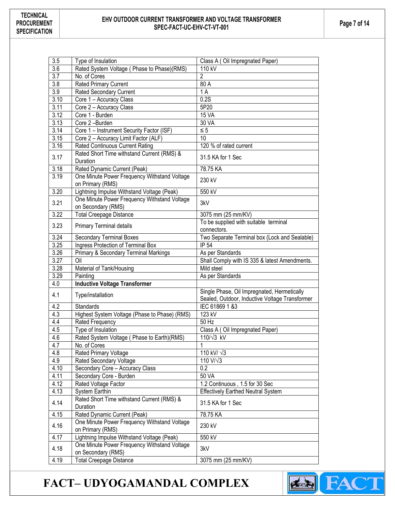## EHV OUTDOOR CURRENT TRANSFORMER AND VOLTAGE TRANSFORMER  $\begin{array}{|c|c|c|}\n\hline\n\text{Fage 7 of 14}\n\end{array}$

| 3.5              | Type of Insulation                                                 | Class A (Oil Impregnated Paper)                                                               |
|------------------|--------------------------------------------------------------------|-----------------------------------------------------------------------------------------------|
| $\overline{3.6}$ | Rated System Voltage ( Phase to Phase)(RMS)                        | 110 kV                                                                                        |
| 3.7              | No. of Cores                                                       | $\overline{2}$                                                                                |
| 3.8              | <b>Rated Primary Current</b>                                       | 80 A                                                                                          |
| 3.9              | <b>Rated Secondary Current</b>                                     | 1A                                                                                            |
| 3.10             | Core 1 - Accuracy Class                                            | 0.2S                                                                                          |
| 3.11             | Core 2 - Accuracy Class                                            | 5P20                                                                                          |
| 3.12             | Core 1 - Burden                                                    | <b>15 VA</b>                                                                                  |
| 3.13             | Core 2-Burden                                                      | 30 VA                                                                                         |
| 3.14             | Core 1 - Instrument Security Factor (ISF)                          | $\leq 5$                                                                                      |
| 3.15             | Core 2 - Accuracy Limit Factor (ALF)                               | 10                                                                                            |
| 3.16             | <b>Rated Continuous Current Rating</b>                             | 120 % of rated current                                                                        |
| 3.17             | Rated Short Time withstand Current (RMS) &                         | 31.5 KA for 1 Sec                                                                             |
|                  | Duration                                                           |                                                                                               |
| 3.18             | Rated Dynamic Current (Peak)                                       | 78.75 KA                                                                                      |
| 3.19             | One Minute Power Frequency Withstand Voltage<br>on Primary (RMS)   | 230 kV                                                                                        |
| 3.20             | Lightning Impulse Withstand Voltage (Peak)                         | 550 kV                                                                                        |
| 3.21             | One Minute Power Frequency Withstand Voltage<br>on Secondary (RMS) | 3kV                                                                                           |
| 3.22             | <b>Total Creepage Distance</b>                                     | 3075 mm (25 mm/KV)                                                                            |
| 3.23             |                                                                    | To be supplied with suitable terminal                                                         |
|                  | <b>Primary Terminal details</b>                                    | connectors.                                                                                   |
| 3.24             | <b>Secondary Terminal Boxes</b>                                    | Two Separate Terminal box (Lock and Sealable)                                                 |
| 3.25             | Ingress Protection of Terminal Box                                 | IP 54                                                                                         |
| 3.26             | Primary & Secondary Terminal Markings                              | As per Standards                                                                              |
| 3.27             | Oil                                                                | Shall Comply with IS 335 & latest Amendments.                                                 |
| 3.28             | Material of Tank/Housing                                           | Mild steel                                                                                    |
| 3.29             | Painting                                                           | As per Standards                                                                              |
| 4.0              | <b>Inductive Voltage Transformer</b>                               |                                                                                               |
| 4.1              | Type/installation                                                  | Single Phase, Oil Impregnated, Hermetically<br>Sealed, Outdoor, Inductive Voltage Transformer |
| 4.2              | Standards                                                          | IEC 61869 1 &3                                                                                |
| 4.3              | Highest System Voltage (Phase to Phase) (RMS)                      | 123 kV                                                                                        |
| 4.4              | Rated Frequency                                                    | 50 Hz                                                                                         |
| 4.5              | Type of Insulation                                                 | Class A (Oil Impregnated Paper)                                                               |
| 4.6              | Rated System Voltage ( Phase to Earth) (RMS)                       | $110/\sqrt{3}$ kV                                                                             |
| 4.7              | No. of Cores                                                       | 1                                                                                             |
| 4.8              | Rated Primary Voltage                                              | 110 kV/ $\sqrt{3}$                                                                            |
| 4.9              | Rated Secondary Voltage                                            | $\overline{110}$ V/ $\sqrt{3}$                                                                |
| 4.10             | Secondary Core - Accuracy Class                                    | 0.2                                                                                           |
| 4.11             | Secondary Core - Burden                                            | 50 VA                                                                                         |
| 4.12             | Rated Voltage Factor                                               | 1.2 Continuous, 1.5 for 30 Sec                                                                |
| 4.13             | System Earthin                                                     | <b>Effectively Earthed Neutral System</b>                                                     |
| 4.14             | Rated Short Time withstand Current (RMS) &<br>Duration             | 31.5 KA for 1 Sec                                                                             |
| 4.15             | Rated Dynamic Current (Peak)                                       | 78.75 KA                                                                                      |
| 4.16             | One Minute Power Frequency Withstand Voltage<br>on Primary (RMS)   | 230 kV                                                                                        |
| 4.17             | Lightning Impulse Withstand Voltage (Peak)                         | 550 kV                                                                                        |
| 4.18             | One Minute Power Frequency Withstand Voltage<br>on Secondary (RMS) | 3kV                                                                                           |
| 4.19             | <b>Total Creepage Distance</b>                                     | 3075 mm (25 mm/KV)                                                                            |
|                  |                                                                    |                                                                                               |

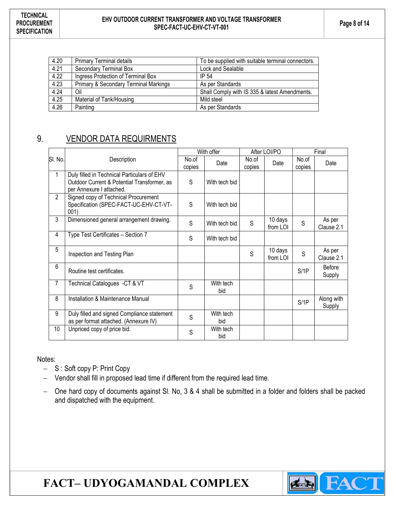## EHV OUTDOOR CURRENT TRANSFORMER AND VOLTAGE TRANSFORMER  $\begin{array}{|c|c|c|}\n\hline\n\text{E1V OUTDOOR CURREN} & \text{Spec 8 of 14}\n\end{array}$

| 4.20 | <b>Primary Terminal details</b>                  | To be supplied with suitable terminal connectors. |
|------|--------------------------------------------------|---------------------------------------------------|
| 4.21 | Secondary Terminal Box                           | Lock and Sealable                                 |
| 4.22 | Ingress Protection of Terminal Box               | IP 54                                             |
| 4.23 | <b>Primary &amp; Secondary Terminal Markings</b> | As per Standards                                  |
| 4.24 | Oil                                              | Shall Comply with IS 335 & latest Amendments.     |
| 4.25 | Material of Tank/Housing                         | Mild steel                                        |
| 4.26 | Painting                                         | As per Standards                                  |

### 9. VENDOR DATA REQUIRMENTS

|                 |                                                                                                                        | With offer      |                  |                 | After LOI/PO        | Final           |                      |
|-----------------|------------------------------------------------------------------------------------------------------------------------|-----------------|------------------|-----------------|---------------------|-----------------|----------------------|
| SI. No.         | Description                                                                                                            | No.of<br>copies | Date             | No.of<br>copies | Date                | No.of<br>copies | Date                 |
| 1               | Duly filled in Technical Particulars of EHV<br>Outdoor Current & Potential Transformer, as<br>per Annexure I attached. | S               | With tech bid    |                 |                     |                 |                      |
| $\overline{2}$  | Signed copy of Technical Procurement<br>Specification (SPEC-FACT-UC-EHV-CT-VT-<br>001)                                 | S               | With tech bid    |                 |                     |                 |                      |
| 3               | Dimensioned general arrangement drawing.                                                                               | S               | With tech bid    | S               | 10 days<br>from LOI | S               | As per<br>Clause 2.1 |
| 4               | Type Test Certificates - Section 7                                                                                     | S               | With tech bid    |                 |                     |                 |                      |
| 5               | Inspection and Testing Plan                                                                                            |                 |                  | S               | 10 days<br>from LOI | S               | As per<br>Clause 2.1 |
| 6               | Routine test certificates.                                                                                             |                 |                  |                 |                     | S/1P            | Before<br>Supply     |
| $\overline{7}$  | Technical Catalogues -CT & VT                                                                                          | S               | With tech<br>bid |                 |                     |                 |                      |
| 8               | Installation & Maintenance Manual                                                                                      |                 |                  |                 |                     | S/1P            | Along with<br>Supply |
| 9               | Duly filled and signed Compliance statement<br>as per format attached. (Annexure IV)                                   | S               | With tech<br>bid |                 |                     |                 |                      |
| 10 <sup>°</sup> | Unpriced copy of price bid.                                                                                            | S               | With tech<br>bid |                 |                     |                 |                      |

Notes:

- S: Soft copy P: Print Copy
- Vendor shall fill in proposed lead time if different from the required lead time.
- One hard copy of documents against Sl. No, 3 & 4 shall be submitted in a folder and folders shall be packed and dispatched with the equipment.

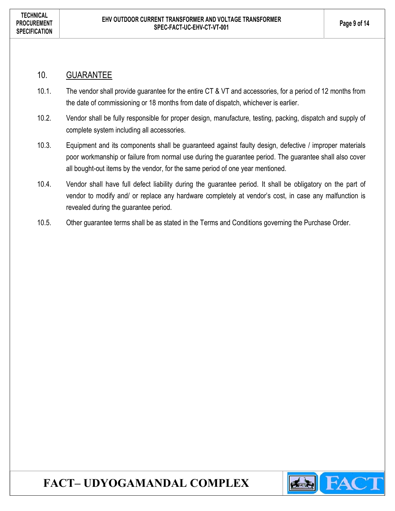### 10. GUARANTEE

- 10.1. The vendor shall provide guarantee for the entire CT & VT and accessories, for a period of 12 months from the date of commissioning or 18 months from date of dispatch, whichever is earlier.
- 10.2. Vendor shall be fully responsible for proper design, manufacture, testing, packing, dispatch and supply of complete system including all accessories.
- 10.3. Equipment and its components shall be guaranteed against faulty design, defective / improper materials poor workmanship or failure from normal use during the guarantee period. The guarantee shall also cover all bought-out items by the vendor, for the same period of one year mentioned.
- 10.4. Vendor shall have full defect liability during the guarantee period. It shall be obligatory on the part of vendor to modify and/ or replace any hardware completely at vendor's cost, in case any malfunction is revealed during the guarantee period.
- 10.5. Other guarantee terms shall be as stated in the Terms and Conditions governing the Purchase Order.

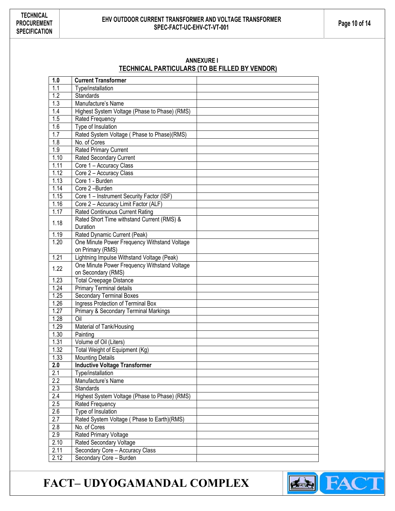## EHV OUTDOOR CURRENT TRANSFORMER AND VOLTAGE TRANSFORMER  $\begin{array}{|c|c|c|}\n\hline\n\text{E1V} & \text{Page 10 of 14}\n\end{array}$

#### ANNEXURE I TECHNICAL PARTICULARS (TO BE FILLED BY VENDOR)

| 1.0                     | <b>Current Transformer</b>                                 |  |
|-------------------------|------------------------------------------------------------|--|
| 1.1                     | Type/installation                                          |  |
| 1.2                     | <b>Standards</b>                                           |  |
| 1.3                     | Manufacture's Name                                         |  |
| 1.4                     | Highest System Voltage (Phase to Phase) (RMS)              |  |
| 1.5                     | Rated Frequency                                            |  |
| 1.6                     | Type of Insulation                                         |  |
| 1.7                     | Rated System Voltage ( Phase to Phase)(RMS)                |  |
| 1.8                     | No. of Cores                                               |  |
| 1.9                     | <b>Rated Primary Current</b>                               |  |
| 1.10                    | <b>Rated Secondary Current</b>                             |  |
| 1.11                    | Core 1 - Accuracy Class                                    |  |
| 1.12                    | Core 2 - Accuracy Class                                    |  |
| 1.13                    | Core 1 - Burden                                            |  |
| 1.14                    | Core 2-Burden                                              |  |
| 1.15                    | Core 1 - Instrument Security Factor (ISF)                  |  |
| 1.16                    | Core 2 - Accuracy Limit Factor (ALF)                       |  |
| 1.17                    | <b>Rated Continuous Current Rating</b>                     |  |
| 1.18                    | Rated Short Time withstand Current (RMS) &                 |  |
|                         | Duration                                                   |  |
| 1.19                    | Rated Dynamic Current (Peak)                               |  |
| 1.20                    | One Minute Power Frequency Withstand Voltage               |  |
|                         | on Primary (RMS)                                           |  |
| 1.21                    | Lightning Impulse Withstand Voltage (Peak)                 |  |
| 1.22                    | One Minute Power Frequency Withstand Voltage               |  |
|                         | on Secondary (RMS)                                         |  |
| 1.23                    | <b>Total Creepage Distance</b>                             |  |
| 1.24                    | Primary Terminal details                                   |  |
| 1.25                    | <b>Secondary Terminal Boxes</b>                            |  |
| 1.26                    | Ingress Protection of Terminal Box                         |  |
| 1.27                    | Primary & Secondary Terminal Markings                      |  |
| 1.28                    | Oil                                                        |  |
| 1.29                    | Material of Tank/Housing                                   |  |
| 1.30                    | Painting                                                   |  |
| 1.31                    | Volume of Oil (Liters)                                     |  |
| 1.32                    | Total Weight of Equipment (Kg)                             |  |
| 1.33                    | <b>Mounting Details</b>                                    |  |
| 2.0                     | <b>Inductive Voltage Transformer</b>                       |  |
| 2.1<br>$\overline{2.2}$ | Type/installation<br>Manufacture's Name                    |  |
|                         |                                                            |  |
| 2.3<br>2.4              | Standards<br>Highest System Voltage (Phase to Phase) (RMS) |  |
| 2.5                     |                                                            |  |
| 2.6                     | Rated Frequency<br>Type of Insulation                      |  |
| 2.7                     | Rated System Voltage ( Phase to Earth)(RMS)                |  |
| 2.8                     | No. of Cores                                               |  |
| $\overline{2.9}$        | <b>Rated Primary Voltage</b>                               |  |
| 2.10                    | Rated Secondary Voltage                                    |  |
| 2.11                    | Secondary Core - Accuracy Class                            |  |
| 2.12                    | Secondary Core - Burden                                    |  |
|                         |                                                            |  |

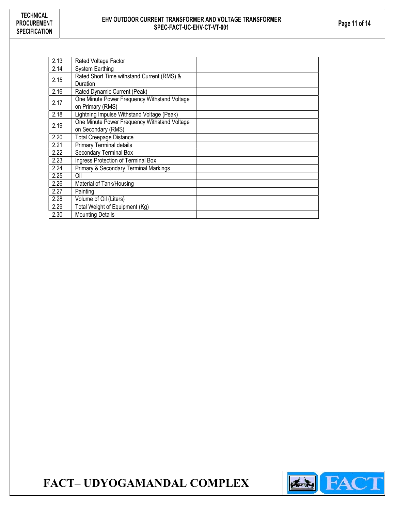## EHV OUTDOOR CURRENT TRANSFORMER AND VOLTAGE TRANSFORMER  $\begin{array}{|c|c|c|}\n\hline\n\text{E1} & \text{Page 11 of 14}\n\end{array}$

| 2.13 | Rated Voltage Factor                         |  |
|------|----------------------------------------------|--|
| 2.14 | <b>System Earthing</b>                       |  |
| 2.15 | Rated Short Time withstand Current (RMS) &   |  |
|      | Duration                                     |  |
| 2.16 | Rated Dynamic Current (Peak)                 |  |
| 2.17 | One Minute Power Frequency Withstand Voltage |  |
|      | on Primary (RMS)                             |  |
| 2.18 | Lightning Impulse Withstand Voltage (Peak)   |  |
| 2.19 | One Minute Power Frequency Withstand Voltage |  |
|      | on Secondary (RMS)                           |  |
| 2.20 | <b>Total Creepage Distance</b>               |  |
| 2.21 | <b>Primary Terminal details</b>              |  |
| 2.22 | Secondary Terminal Box                       |  |
| 2.23 | Ingress Protection of Terminal Box           |  |
| 2.24 | Primary & Secondary Terminal Markings        |  |
| 2.25 | Oil                                          |  |
| 2.26 | Material of Tank/Housing                     |  |
| 2.27 | Painting                                     |  |
| 2.28 | Volume of Oil (Liters)                       |  |
| 2.29 | Total Weight of Equipment (Kg)               |  |
| 2.30 | <b>Mounting Details</b>                      |  |

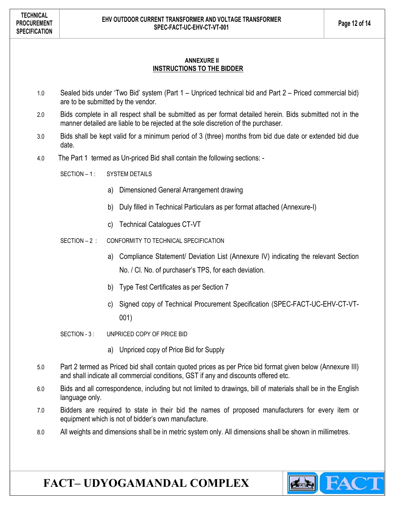#### ANNEXURE II INSTRUCTIONS TO THE BIDDER

- 1.0 Sealed bids under 'Two Bid' system (Part 1 Unpriced technical bid and Part 2 Priced commercial bid) are to be submitted by the vendor.
- 2.0 Bids complete in all respect shall be submitted as per format detailed herein. Bids submitted not in the manner detailed are liable to be rejected at the sole discretion of the purchaser.
- 3.0 Bids shall be kept valid for a minimum period of 3 (three) months from bid due date or extended bid due date.
- 4.0 The Part 1 termed as Un-priced Bid shall contain the following sections: -

SECTION – 1: SYSTEM DETAILS

- a) Dimensioned General Arrangement drawing
- b) Duly filled in Technical Particulars as per format attached (Annexure-I)
- c) Technical Catalogues CT-VT
- SECTION 2 : CONFORMITY TO TECHNICAL SPECIFICATION
	- a) Compliance Statement/ Deviation List (Annexure IV) indicating the relevant Section No. / Cl. No. of purchaser's TPS, for each deviation.
	- b) Type Test Certificates as per Section 7
	- c) Signed copy of Technical Procurement Specification (SPEC-FACT-UC-EHV-CT-VT-001)
- SECTION 3: UNPRICED COPY OF PRICE BID
	- a) Unpriced copy of Price Bid for Supply
- 5.0 Part 2 termed as Priced bid shall contain quoted prices as per Price bid format given below (Annexure III) and shall indicate all commercial conditions, GST if any and discounts offered etc.
- 6.0 Bids and all correspondence, including but not limited to drawings, bill of materials shall be in the English language only.
- 7.0 Bidders are required to state in their bid the names of proposed manufacturers for every item or equipment which is not of bidder's own manufacture.
- 8.0 All weights and dimensions shall be in metric system only. All dimensions shall be shown in millimetres.

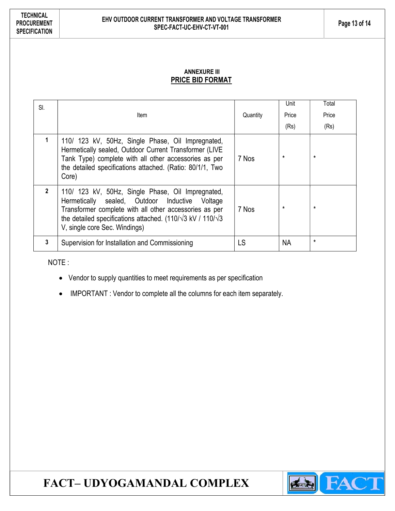### ANNEXURE III PRICE BID FORMAT

| SI.            | Item                                                                                                                                                                                                                                                                          | Quantity | Unit<br>Price<br>(Rs) | Total<br>Price<br>(Rs) |
|----------------|-------------------------------------------------------------------------------------------------------------------------------------------------------------------------------------------------------------------------------------------------------------------------------|----------|-----------------------|------------------------|
|                | 110/ 123 kV, 50Hz, Single Phase, Oil Impregnated,<br>Hermetically sealed, Outdoor Current Transformer (LIVE<br>Tank Type) complete with all other accessories as per<br>the detailed specifications attached. (Ratio: 80/1/1, Two<br>Core)                                    | 7 Nos    | $\star$               | $\star$                |
| $\mathfrak{p}$ | 110/ 123 kV, 50Hz, Single Phase, Oil Impregnated,<br>Hermetically sealed, Outdoor Inductive Voltage<br>Transformer complete with all other accessories as per<br>the detailed specifications attached. (110/ $\sqrt{3}$ kV / 110/ $\sqrt{3}$<br>V, single core Sec. Windings) | 7 Nos    | $\star$               | $\star$                |
| 3              | Supervision for Installation and Commissioning                                                                                                                                                                                                                                | LS       | <b>NA</b>             | $\star$                |

NOTE :

- Vendor to supply quantities to meet requirements as per specification
- IMPORTANT : Vendor to complete all the columns for each item separately.